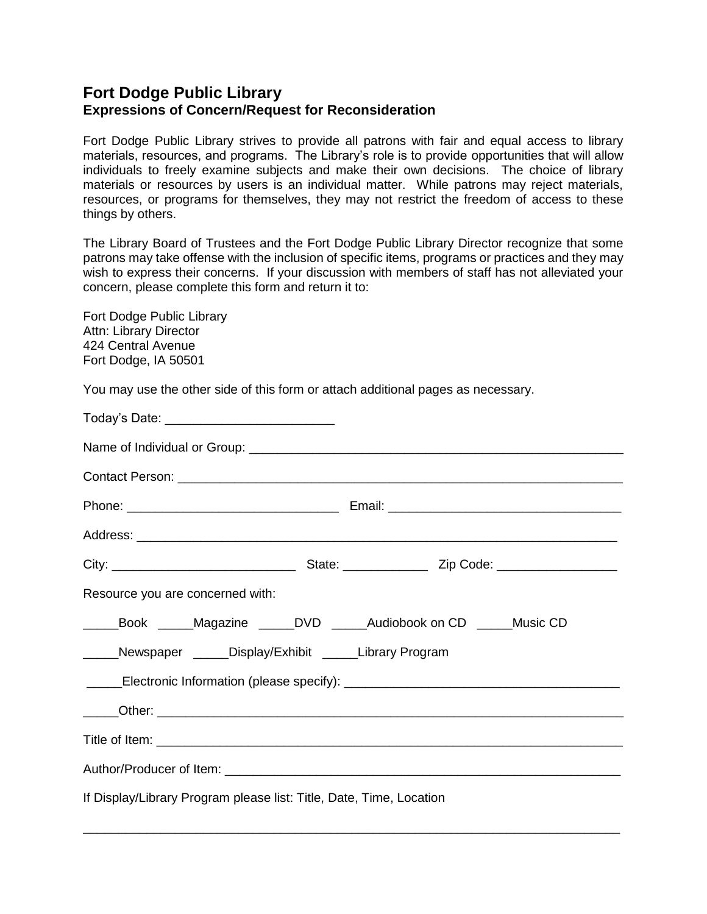## **Fort Dodge Public Library Expressions of Concern/Request for Reconsideration**

Fort Dodge Public Library strives to provide all patrons with fair and equal access to library materials, resources, and programs. The Library's role is to provide opportunities that will allow individuals to freely examine subjects and make their own decisions. The choice of library materials or resources by users is an individual matter. While patrons may reject materials, resources, or programs for themselves, they may not restrict the freedom of access to these things by others.

The Library Board of Trustees and the Fort Dodge Public Library Director recognize that some patrons may take offense with the inclusion of specific items, programs or practices and they may wish to express their concerns. If your discussion with members of staff has not alleviated your concern, please complete this form and return it to:

Fort Dodge Public Library Attn: Library Director 424 Central Avenue Fort Dodge, IA 50501

You may use the other side of this form or attach additional pages as necessary.

| Today's Date: ______________________________                                         |                                                                                  |
|--------------------------------------------------------------------------------------|----------------------------------------------------------------------------------|
|                                                                                      |                                                                                  |
|                                                                                      |                                                                                  |
|                                                                                      |                                                                                  |
|                                                                                      |                                                                                  |
|                                                                                      |                                                                                  |
| Resource you are concerned with:                                                     |                                                                                  |
| _Book ______Magazine ______DVD ______Audiobook on CD ______Music CD<br>$\frac{1}{2}$ |                                                                                  |
| _____Newspaper _____Display/Exhibit _____Library Program                             |                                                                                  |
|                                                                                      | _____Electronic Information (please specify): __________________________________ |
|                                                                                      |                                                                                  |
|                                                                                      |                                                                                  |
|                                                                                      |                                                                                  |
| If Display/Library Program please list: Title, Date, Time, Location                  |                                                                                  |

\_\_\_\_\_\_\_\_\_\_\_\_\_\_\_\_\_\_\_\_\_\_\_\_\_\_\_\_\_\_\_\_\_\_\_\_\_\_\_\_\_\_\_\_\_\_\_\_\_\_\_\_\_\_\_\_\_\_\_\_\_\_\_\_\_\_\_\_\_\_\_\_\_\_\_\_